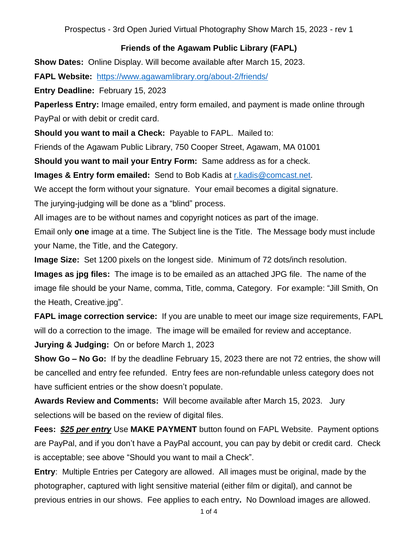## **Friends of the Agawam Public Library (FAPL)**

**Show Dates:** Online Display. Will become available after March 15, 2023.

**FAPL Website:** <https://www.agawamlibrary.org/about-2/friends/>

**Entry Deadline:** February 15, 2023

**Paperless Entry:** Image emailed, entry form emailed, and payment is made online through PayPal or with debit or credit card.

**Should you want to mail a Check:** Payable to FAPL. Mailed to:

Friends of the Agawam Public Library, 750 Cooper Street, Agawam, MA 01001

**Should you want to mail your Entry Form:** Same address as for a check.

**Images & Entry form emailed:** Send to Bob Kadis at [r.kadis@comcast.net.](mailto:r.kadis@comcast.net)

We accept the form without your signature. Your email becomes a digital signature.

The jurying-judging will be done as a "blind" process.

All images are to be without names and copyright notices as part of the image.

Email only **one** image at a time. The Subject line is the Title. The Message body must include your Name, the Title, and the Category.

**Image Size:** Set 1200 pixels on the longest side. Minimum of 72 dots/inch resolution.

**Images as jpg files:** The image is to be emailed as an attached JPG file. The name of the image file should be your Name, comma, Title, comma, Category. For example: "Jill Smith, On the Heath, Creative.jpg".

**FAPL image correction service:** If you are unable to meet our image size requirements, FAPL will do a correction to the image. The image will be emailed for review and acceptance.

**Jurying & Judging:** On or before March 1, 2023

**Show Go – No Go:** If by the deadline February 15, 2023 there are not 72 entries, the show will be cancelled and entry fee refunded. Entry fees are non-refundable unless category does not have sufficient entries or the show doesn't populate.

**Awards Review and Comments:** Will become available after March 15, 2023. Jury selections will be based on the review of digital files.

**Fees:** *\$25 per entry* Use **MAKE PAYMENT** button found on FAPL Website. Payment options are PayPal, and if you don't have a PayPal account, you can pay by debit or credit card. Check is acceptable; see above "Should you want to mail a Check".

**Entry**: Multiple Entries per Category are allowed. All images must be original, made by the photographer, captured with light sensitive material (either film or digital), and cannot be previous entries in our shows. Fee applies to each entry**.** No Download images are allowed.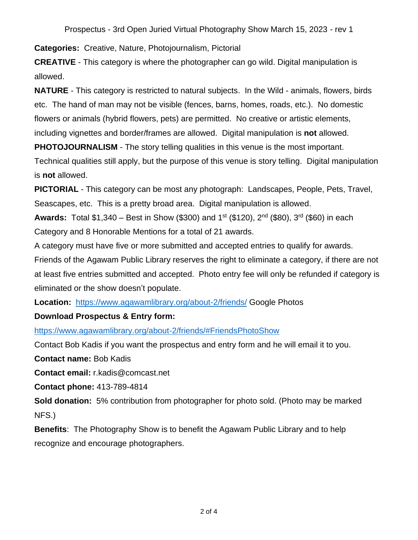**Categories:** Creative, Nature, Photojournalism, Pictorial

**CREATIVE** - This category is where the photographer can go wild. Digital manipulation is allowed.

**NATURE** - This category is restricted to natural subjects. In the Wild - animals, flowers, birds etc. The hand of man may not be visible (fences, barns, homes, roads, etc.). No domestic flowers or animals (hybrid flowers, pets) are permitted. No creative or artistic elements, including vignettes and border/frames are allowed. Digital manipulation is **not** allowed.

**PHOTOJOURNALISM** - The story telling qualities in this venue is the most important.

Technical qualities still apply, but the purpose of this venue is story telling. Digital manipulation is **not** allowed.

**PICTORIAL** - This category can be most any photograph: Landscapes, People, Pets, Travel, Seascapes, etc. This is a pretty broad area. Digital manipulation is allowed.

**Awards:** Total \$1,340 – Best in Show (\$300) and 1<sup>st</sup> (\$120), 2<sup>nd</sup> (\$80), 3<sup>rd</sup> (\$60) in each Category and 8 Honorable Mentions for a total of 21 awards.

A category must have five or more submitted and accepted entries to qualify for awards.

Friends of the Agawam Public Library reserves the right to eliminate a category, if there are not at least five entries submitted and accepted. Photo entry fee will only be refunded if category is eliminated or the show doesn't populate.

**Location:** <https://www.agawamlibrary.org/about-2/friends/> Google Photos

## **Download Prospectus & Entry form:**

<https://www.agawamlibrary.org/about-2/friends/#FriendsPhotoShow>

Contact Bob Kadis if you want the prospectus and entry form and he will email it to you.

**Contact name:** Bob Kadis

**Contact email:** r.kadis@comcast.net

**Contact phone:** 413-789-4814

**Sold donation:** 5% contribution from photographer for photo sold. (Photo may be marked NFS.)

**Benefits**: The Photography Show is to benefit the Agawam Public Library and to help recognize and encourage photographers.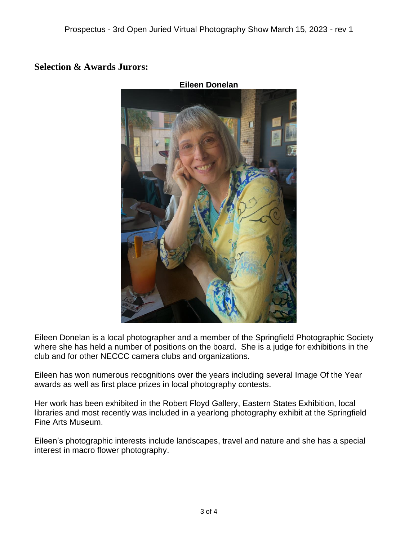## **Selection & Awards Jurors:**



Eileen Donelan is a local photographer and a member of the Springfield Photographic Society where she has held a number of positions on the board. She is a judge for exhibitions in the club and for other NECCC camera clubs and organizations.

Eileen has won numerous recognitions over the years including several Image Of the Year awards as well as first place prizes in local photography contests.

Her work has been exhibited in the Robert Floyd Gallery, Eastern States Exhibition, local libraries and most recently was included in a yearlong photography exhibit at the Springfield Fine Arts Museum.

Eileen's photographic interests include landscapes, travel and nature and she has a special interest in macro flower photography.